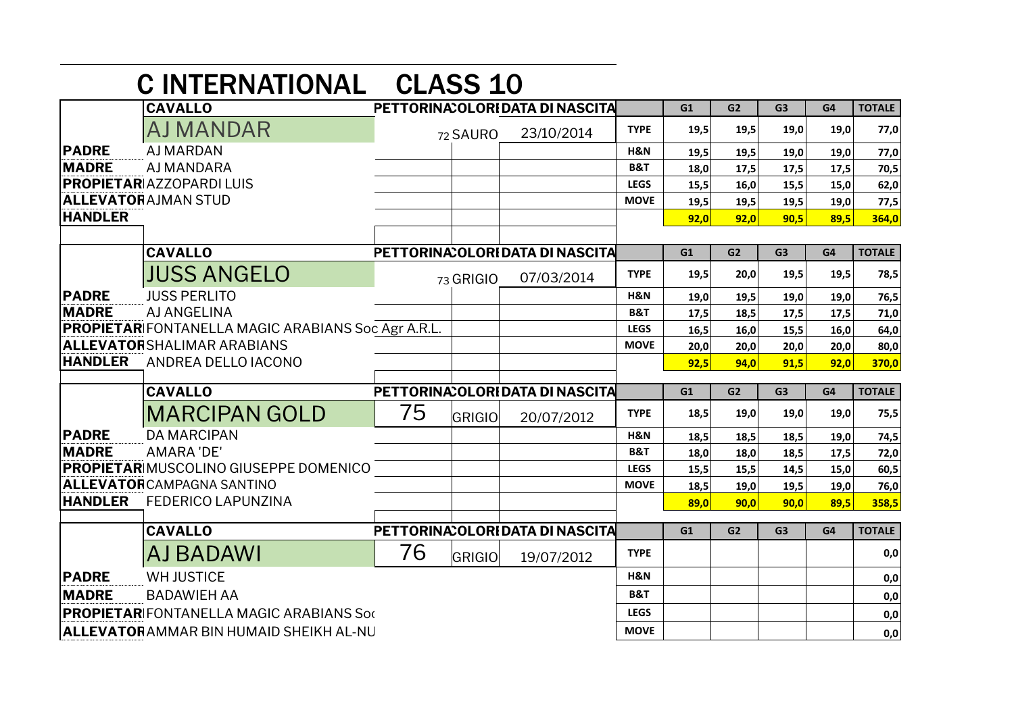|                | <b>CINTERNATIONAL CLASS 10</b>                            |    |           |                                  |                |      |                |                |      |               |
|----------------|-----------------------------------------------------------|----|-----------|----------------------------------|----------------|------|----------------|----------------|------|---------------|
|                | <b>CAVALLO</b>                                            |    |           | PETTORINA: OLORI DATA DI NASCITA |                | G1   | G <sub>2</sub> | G <sub>3</sub> | G4   | <b>TOTALE</b> |
|                | AJ MANDAR                                                 |    | 72 SAURO  | 23/10/2014                       | <b>TYPE</b>    | 19,5 | 19,5           | 19,0           | 19,0 | 77,0          |
| <b>PADRE</b>   | <b>AJ MARDAN</b>                                          |    |           |                                  | <b>H&amp;N</b> | 19,5 | 19,5           | 19,0           | 19,0 | 77,0          |
| <b>MADRE</b>   | AJ MANDARA                                                |    |           |                                  | <b>B&amp;T</b> | 18,0 | 17,5           | 17,5           | 17,5 | 70,5          |
|                | <b>PROPIETAR AZZOPARDI LUIS</b>                           |    |           |                                  | <b>LEGS</b>    | 15,5 | 16,0           | 15,5           | 15,0 | 62,0          |
|                | <b>ALLEVATORAJMAN STUD</b>                                |    |           |                                  | <b>MOVE</b>    | 19,5 | 19,5           | 19,5           | 19,0 | 77,5          |
| <b>HANDLER</b> |                                                           |    |           |                                  |                | 92,0 | 92,0           | 90,5           | 89,5 | 364,0         |
|                | <b>CAVALLO</b>                                            |    |           | PETTORINA: OLORI DATA DI NASCITA |                | G1   | G <sub>2</sub> | G <sub>3</sub> | G4   | <b>TOTALE</b> |
|                |                                                           |    |           |                                  |                |      |                |                |      |               |
|                | <b>JUSS ANGELO</b>                                        |    | 73 GRIGIO | 07/03/2014                       | <b>TYPE</b>    | 19,5 | 20,0           | 19,5           | 19,5 | 78,5          |
| <b>PADRE</b>   | <b>JUSS PERLITO</b>                                       |    |           |                                  | H&N            | 19,0 | 19,5           | 19,0           | 19,0 | 76,5          |
| <b>MADRE</b>   | AJ ANGELINA                                               |    |           |                                  | <b>B&amp;T</b> | 17,5 | 18,5           | 17,5           | 17,5 | 71,0          |
|                | <b>PROPIETAR</b> FONTANELLA MAGIC ARABIANS Soc Agr A.R.L. |    |           |                                  | <b>LEGS</b>    | 16,5 | 16,0           | 15,5           | 16,0 | 64,0          |
|                | <b>ALLEVATORSHALIMAR ARABIANS</b>                         |    |           |                                  | <b>MOVE</b>    | 20,0 | 20,0           | 20,0           | 20,0 | 80,0          |
| <b>HANDLER</b> | ANDREA DELLO IACONO                                       |    |           |                                  |                | 92,5 | 94,0           | 91,5           | 92,0 | 370,0         |
|                | <b>CAVALLO</b>                                            |    |           | PETTORINA OLORIDATA DI NASCITA   |                | G1   | G2             | G <sub>3</sub> | G4   | <b>TOTALE</b> |
|                | <b>MARCIPAN GOLD</b>                                      | 75 | GRIGIO    | 20/07/2012                       | <b>TYPE</b>    | 18,5 | 19,0           | 19,0           | 19,0 | 75,5          |
| <b>PADRE</b>   | <b>DA MARCIPAN</b>                                        |    |           |                                  | H&N            | 18,5 | 18,5           | 18,5           | 19,0 | 74,5          |
| <b>MADRE</b>   | <b>AMARA 'DE'</b>                                         |    |           |                                  | B&T            | 18,0 | 18,0           | 18,5           | 17,5 | 72,0          |
|                | <b>PROPIETAR MUSCOLINO GIUSEPPE DOMENICO</b>              |    |           |                                  |                | 15,5 | 15,5           | 14,5           | 15,0 | 60,5          |
|                |                                                           |    |           |                                  | <b>LEGS</b>    |      |                |                |      |               |
|                | <b>ALLEVATOR</b> CAMPAGNA SANTINO                         |    |           |                                  | <b>MOVE</b>    | 18,5 | 19,0           | 19,5           | 19,0 | 76,0          |
| <b>HANDLER</b> | <b>FEDERICO LAPUNZINA</b>                                 |    |           |                                  |                | 89,0 | 90,0           | 90,0           | 89,5 | 358,5         |
|                | <b>CAVALLO</b>                                            |    |           | PETTORINA: OLORI DATA DI NASCITA |                | G1   | G2             | G <sub>3</sub> | G4   | <b>TOTALE</b> |
|                | AJ BADAWI                                                 | 76 | GRIGIO    | 19/07/2012                       | <b>TYPE</b>    |      |                |                |      | 0,0           |
| <b>PADRE</b>   | <b>WH JUSTICE</b>                                         |    |           |                                  | <b>H&amp;N</b> |      |                |                |      | 0,0           |
| <b>MADRE</b>   | <b>BADAWIEH AA</b>                                        |    |           |                                  | <b>B&amp;T</b> |      |                |                |      | 0,0           |
|                | <b>PROPIETAR</b> FONTANELLA MAGIC ARABIANS Soc            |    |           |                                  | <b>LEGS</b>    |      |                |                |      | 0,0           |